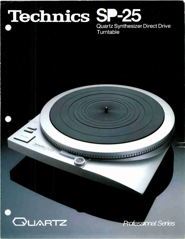# Technics SP-25

Quartz Synthesizer Direct Drive Turntable

Contraction of the contract of the contract of the contract of the contract of the contract of the contract of



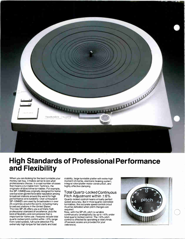

## High Standards of Professional Performance and Flexibility

When you are looking for the best turntable your money can buy, it makes sense to see what professionals choose. In a vast number of cases that means a turntable from Technics, the originator of direct drive turntables. For example, the SP-10MKII was originally designed for home use but soon gained favorable reputation among broadcast stations around the world for high performance and durability. Over a thousand SP-10MKII's are used by broadcasters in over 25 countries around the world, including many broadcast stations in the United States. The new SP-25 offers you a similarly high professional standard of excellence, plus the kind of flexibility and convenience that is important for home use. Features include total quartz-locked pitch control within ±6% range from rated speeds, full cycle detection FG, extremely high torque for fast starts and load

stability, large turntable platter with extra-high moment of inertia, electronic braking system, integral rotor/platter motor construction, and highly effective damping.

#### Total Quartz-Locked Continuous

Pitch Adiustment within  $\pm 6\%$ Quartz-locked control means virtually perfect speed accuracy. But in most quartz-controlled turntables, this accurate speed control circuit must be defeated when pitch changes are required.

Now, with the SP-25, pitch is variable continuously (analogically) by up to ±6% under total quartz-locked control. The ±6% pitch control is effected by operating a rotary knob. (Precision scales are provided for your reference).

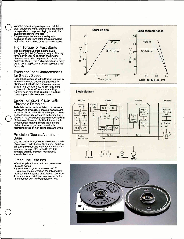With this precision system you can match the pitch of a record to that of a musical instrument, or expand and compress playing times to fit a given broadcasting time slot.

Single-row platter markings and quartz oscillated strobe illuminator are also provided indicating exact 33-1/3 or 45 rpm rated speed.

#### High Torque for Fast Starts

The integral rotor/platter motor delivers 1.5 kg·cm (1.3 lb·in) of starting torque. This high torque gives very quick starts enabling the platter to reach 33-1/3 rpm within 0.7 sec. (a quarter of a turn). This is a big advantage in many professional applications where fast cueing is a necessity.

#### Excellent Load Characteristics for Steady Speed

Speed fluctuation due to load torque (caused by tonearm or record cleaner drag) is virtually eliminated thanks to the elaborate electronic circuits. It is 0% within 1.0 kg $cm$  (0.87 lb $\cdot$ in). If you could place 100 tonearms tracking 2 grams each onto this turntable, it would still rotate at precisely the chosen speed.

#### Large Turntable Platter with Threefold Damping

To isolate the turntable and damp out external vibrations, the targe 33.9 cm aluminum diecast turntable platter of the SP-25 is damped on three surfaces. Specially fabricated rubber matting is placed in the underside along with underside rim of the turntable platter. And the thick turntable sheet (rubber matting) covers the top of the platter. As a result, acoustic isolation is maintained even at high sound pressure levels.

#### Precision Diecast Aluminum Base

Like the platter itself, the turntable base is made of precision-made diecast aluminum. Thanks to this turntable base and the other anti-resonance measures incorporated in the SP-25, this turntable exhibits excellent resistance to acoustic feedback.

#### Other Fine Features

- \*Quick stop is achieved with a fully electronic braking system.
- **\*Soft-touch start, stop and power on/off** switches allowing precision control capability without the annoyance of accidental operation.
- \*Technics famous integral rotor/platter motor construction with full cycle detection FG.